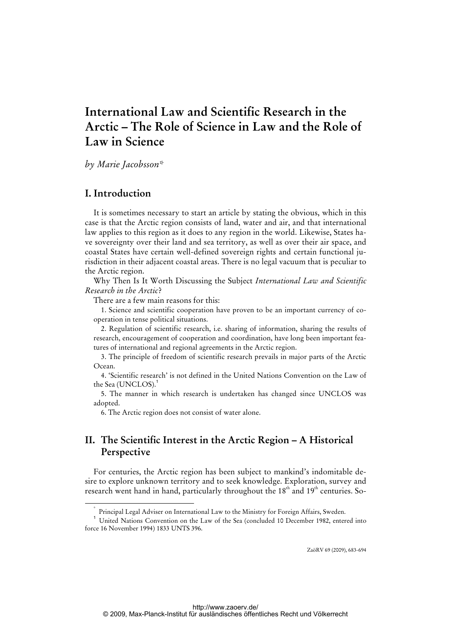# **International Law and Scientific Research in the Arctic – The Role of Science in Law and the Role of Law in Science**

*by Marie Jacobsson\** 

# **I. Introduction**

It is sometimes necessary to start an article by stating the obvious, which in this case is that the Arctic region consists of land, water and air, and that international law applies to this region as it does to any region in the world. Likewise, States have sovereignty over their land and sea territory, as well as over their air space, and coastal States have certain well-defined sovereign rights and certain functional jurisdiction in their adjacent coastal areas. There is no legal vacuum that is peculiar to the Arctic region.

Why Then Is It Worth Discussing the Subject *International Law and Scientific Research in the Arctic*?

There are a few main reasons for this:

1. Science and scientific cooperation have proven to be an important currency of cooperation in tense political situations.

2. Regulation of scientific research, i.e. sharing of information, sharing the results of research, encouragement of cooperation and coordination, have long been important features of international and regional agreements in the Arctic region.

3. The principle of freedom of scientific research prevails in major parts of the Arctic Ocean.

4. 'Scientific research' is not defined in the United Nations Convention on the Law of the Sea (UNCLOS).<sup>1</sup>

5. The manner in which research is undertaken has changed since UNCLOS was adopted.

6. The Arctic region does not consist of water alone.

# **II. The Scientific Interest in the Arctic Region – A Historical Perspective**

For centuries, the Arctic region has been subject to mankind's indomitable desire to explore unknown territory and to seek knowledge. Exploration, survey and research went hand in hand, particularly throughout the  $18<sup>th</sup>$  and  $19<sup>th</sup>$  centuries. So-

ZaöRV 69 (2009), 683-694

 <sup>\*</sup> Principal Legal Adviser on International Law to the Ministry for Foreign Affairs, Sweden.

<sup>&</sup>lt;sup>1</sup> United Nations Convention on the Law of the Sea (concluded 10 December 1982, entered into force 16 November 1994) 1833 UNTS 396.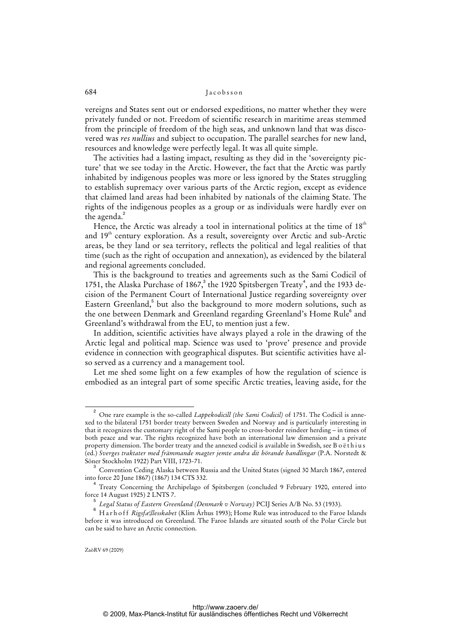vereigns and States sent out or endorsed expeditions, no matter whether they were privately funded or not. Freedom of scientific research in maritime areas stemmed from the principle of freedom of the high seas, and unknown land that was discovered was *res nullius* and subject to occupation. The parallel searches for new land, resources and knowledge were perfectly legal. It was all quite simple.

The activities had a lasting impact, resulting as they did in the 'sovereignty picture' that we see today in the Arctic. However, the fact that the Arctic was partly inhabited by indigenous peoples was more or less ignored by the States struggling to establish supremacy over various parts of the Arctic region, except as evidence that claimed land areas had been inhabited by nationals of the claiming State. The rights of the indigenous peoples as a group or as individuals were hardly ever on the agenda.<sup>2</sup>

Hence, the Arctic was already a tool in international politics at the time of  $18<sup>th</sup>$ and 19<sup>th</sup> century exploration. As a result, sovereignty over Arctic and sub-Arctic areas, be they land or sea territory, reflects the political and legal realities of that time (such as the right of occupation and annexation), as evidenced by the bilateral and regional agreements concluded.

This is the background to treaties and agreements such as the Sami Codicil of 1751, the Alaska Purchase of 1867, $3$  the 1920 Spitsbergen Treaty<sup>4</sup>, and the 1933 decision of the Permanent Court of International Justice regarding sovereignty over Eastern Greenland,<sup>5</sup> but also the background to more modern solutions, such as the one between Denmark and Greenland regarding Greenland's Home Rule<sup>6</sup> and Greenland's withdrawal from the EU, to mention just a few.

In addition, scientific activities have always played a role in the drawing of the Arctic legal and political map. Science was used to 'prove' presence and provide evidence in connection with geographical disputes. But scientific activities have also served as a currency and a management tool.

Let me shed some light on a few examples of how the regulation of science is embodied as an integral part of some specific Arctic treaties, leaving aside, for the

 $\overline{a}$  One rare example is the so-called *Lappekodicill (the Sami Codicil)* of 1751. The Codicil is annexed to the bilateral 1751 border treaty between Sweden and Norway and is particularly interesting in that it recognizes the customary right of the Sami people to cross-border reindeer herding – in times of both peace and war. The rights recognized have both an international law dimension and a private property dimension. The border treaty and the annexed codicil is available in Swedish, see B o ë thius (ed.) *Sverges traktater med främmande magter jemte andra dit hörande handlingar* (P.A. Norstedt & Söner Stockholm 1922) Part VIII, 1723-71.

<sup>3</sup> Convention Ceding Alaska between Russia and the United States (signed 30 March 1867, entered into force 20 June 1867) (1867) 134 CTS 332.

<sup>4</sup> Treaty Concerning the Archipelago of Spitsbergen (concluded 9 February 1920, entered into force 14 August 1925) 2 LNTS 7.

<sup>5</sup> *Legal Status of Eastern Greenland (Denmark v Norway)* PCIJ Series A/B No. 53 (1933).

<sup>6</sup> Harhoff *Rigsfæ¦llesskabet* (Klim Århus 1993); Home Rule was introduced to the Faroe Islands before it was introduced on Greenland. The Faroe Islands are situated south of the Polar Circle but can be said to have an Arctic connection.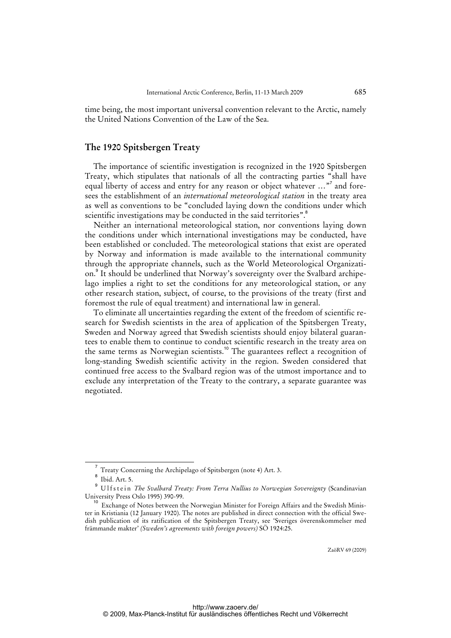time being, the most important universal convention relevant to the Arctic, namely the United Nations Convention of the Law of the Sea.

# **The 1920 Spitsbergen Treaty**

The importance of scientific investigation is recognized in the 1920 Spitsbergen Treaty, which stipulates that nationals of all the contracting parties "shall have equal liberty of access and entry for any reason or object whatever ..."<sup>7</sup> and foresees the establishment of an *international meteorological station* in the treaty area as well as conventions to be "concluded laying down the conditions under which scientific investigations may be conducted in the said territories".<sup>8</sup>

Neither an international meteorological station, nor conventions laying down the conditions under which international investigations may be conducted, have been established or concluded. The meteorological stations that exist are operated by Norway and information is made available to the international community through the appropriate channels, such as the World Meteorological Organization.<sup>9</sup> It should be underlined that Norway's sovereignty over the Svalbard archipelago implies a right to set the conditions for any meteorological station, or any other research station, subject, of course, to the provisions of the treaty (first and foremost the rule of equal treatment) and international law in general.

To eliminate all uncertainties regarding the extent of the freedom of scientific research for Swedish scientists in the area of application of the Spitsbergen Treaty, Sweden and Norway agreed that Swedish scientists should enjoy bilateral guarantees to enable them to continue to conduct scientific research in the treaty area on the same terms as Norwegian scientists.<sup>10</sup> The guarantees reflect a recognition of long-standing Swedish scientific activity in the region. Sweden considered that continued free access to the Svalbard region was of the utmost importance and to exclude any interpretation of the Treaty to the contrary, a separate guarantee was negotiated.

<sup>&</sup>lt;sup>7</sup> Treaty Concerning the Archipelago of Spitsbergen (note 4) Art. 3.

Ibid. Art. 5.

<sup>9</sup> Ulfstein *The Svalbard Treaty: From Terra Nullius to Norwegian Sovereignty* (Scandinavian University Press Oslo 1995) 390-99.

<sup>&</sup>lt;sup>10</sup> Exchange of Notes between the Norwegian Minister for Foreign Affairs and the Swedish Minister in Kristiania (12 January 1920). The notes are published in direct connection with the official Swedish publication of its ratification of the Spitsbergen Treaty, see 'Sveriges överenskommelser med främmande makter' *(Sweden's agreements with foreign powers)* SÖ 1924:25.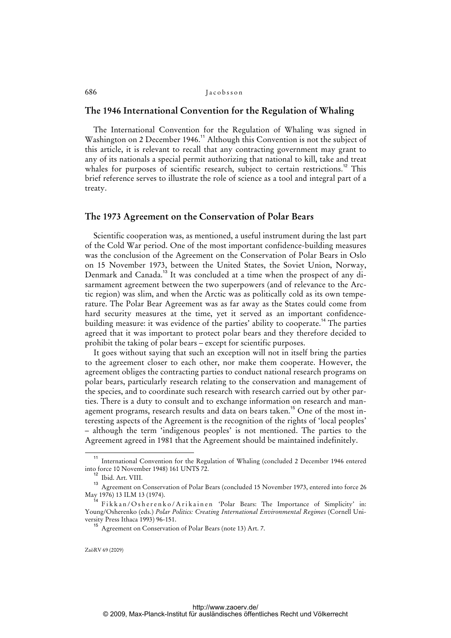## **The 1946 International Convention for the Regulation of Whaling**

The International Convention for the Regulation of Whaling was signed in Washington on 2 December 1946.<sup>11</sup> Although this Convention is not the subject of this article, it is relevant to recall that any contracting government may grant to any of its nationals a special permit authorizing that national to kill, take and treat whales for purposes of scientific research, subject to certain restrictions.<sup>12</sup> This brief reference serves to illustrate the role of science as a tool and integral part of a treaty.

#### **The 1973 Agreement on the Conservation of Polar Bears**

Scientific cooperation was, as mentioned, a useful instrument during the last part of the Cold War period. One of the most important confidence-building measures was the conclusion of the Agreement on the Conservation of Polar Bears in Oslo on 15 November 1973, between the United States, the Soviet Union, Norway, Denmark and Canada.<sup>13</sup> It was concluded at a time when the prospect of any disarmament agreement between the two superpowers (and of relevance to the Arctic region) was slim, and when the Arctic was as politically cold as its own temperature. The Polar Bear Agreement was as far away as the States could come from hard security measures at the time, yet it served as an important confidencebuilding measure: it was evidence of the parties' ability to cooperate.<sup>14</sup> The parties agreed that it was important to protect polar bears and they therefore decided to prohibit the taking of polar bears – except for scientific purposes.

It goes without saying that such an exception will not in itself bring the parties to the agreement closer to each other, nor make them cooperate. However, the agreement obliges the contracting parties to conduct national research programs on polar bears, particularly research relating to the conservation and management of the species, and to coordinate such research with research carried out by other parties. There is a duty to consult and to exchange information on research and management programs, research results and data on bears taken.<sup>15</sup> One of the most interesting aspects of the Agreement is the recognition of the rights of 'local peoples' – although the term 'indigenous peoples' is not mentioned. The parties to the Agreement agreed in 1981 that the Agreement should be maintained indefinitely.

<sup>&</sup>lt;sup>11</sup> International Convention for the Regulation of Whaling (concluded 2 December 1946 entered into force 10 November 1948) 161 UNTS 72.

Ibid. Art. VIII.

<sup>13</sup> Agreement on Conservation of Polar Bears (concluded 15 November 1973, entered into force 26 May 1976) 13 ILM 13 (1974).

<sup>&</sup>lt;sup>4</sup> Fikkan/Osherenko/Arikainen 'Polar Bears: The Importance of Simplicity' in: Young/Osherenko (eds.) *Polar Politics: Creating International Environmental Regimes* (Cornell University Press Ithaca 1993) 96-151.

<sup>15</sup> Agreement on Conservation of Polar Bears (note 13) Art. 7.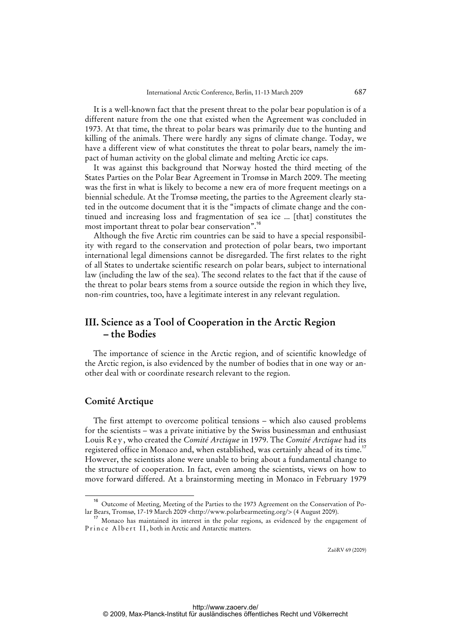It is a well-known fact that the present threat to the polar bear population is of a different nature from the one that existed when the Agreement was concluded in 1973. At that time, the threat to polar bears was primarily due to the hunting and killing of the animals. There were hardly any signs of climate change. Today, we have a different view of what constitutes the threat to polar bears, namely the impact of human activity on the global climate and melting Arctic ice caps.

It was against this background that Norway hosted the third meeting of the States Parties on the Polar Bear Agreement in Tromsø in March 2009. The meeting was the first in what is likely to become a new era of more frequent meetings on a biennial schedule. At the Tromsø meeting, the parties to the Agreement clearly stated in the outcome document that it is the "impacts of climate change and the continued and increasing loss and fragmentation of sea ice ... [that] constitutes the most important threat to polar bear conservation".<sup>16</sup>

Although the five Arctic rim countries can be said to have a special responsibility with regard to the conservation and protection of polar bears, two important international legal dimensions cannot be disregarded. The first relates to the right of all States to undertake scientific research on polar bears, subject to international law (including the law of the sea). The second relates to the fact that if the cause of the threat to polar bears stems from a source outside the region in which they live, non-rim countries, too, have a legitimate interest in any relevant regulation.

# **III. Science as a Tool of Cooperation in the Arctic Region – the Bodies**

The importance of science in the Arctic region, and of scientific knowledge of the Arctic region, is also evidenced by the number of bodies that in one way or another deal with or coordinate research relevant to the region.

# **Comité Arctique**

The first attempt to overcome political tensions – which also caused problems for the scientists – was a private initiative by the Swiss businessman and enthusiast Louis R e y , who created the *Comité Arctique* in 1979. The *Comité Arctique* had its registered office in Monaco and, when established, was certainly ahead of its time.<sup>17</sup> However, the scientists alone were unable to bring about a fundamental change to the structure of cooperation. In fact, even among the scientists, views on how to move forward differed. At a brainstorming meeting in Monaco in February 1979

<sup>16</sup> Outcome of Meeting, Meeting of the Parties to the 1973 Agreement on the Conservation of Po-lar Bears, Tromsø, 17-19 March 2009 [<http://www.polarbearmeeting.org/>](http://www.polarbearmeeting.org/) (4 August 2009).

 $<sup>7</sup>$  Monaco has maintained its interest in the polar regions, as evidenced by the engagement of</sup> Prince Albert II, both in Arctic and Antarctic matters.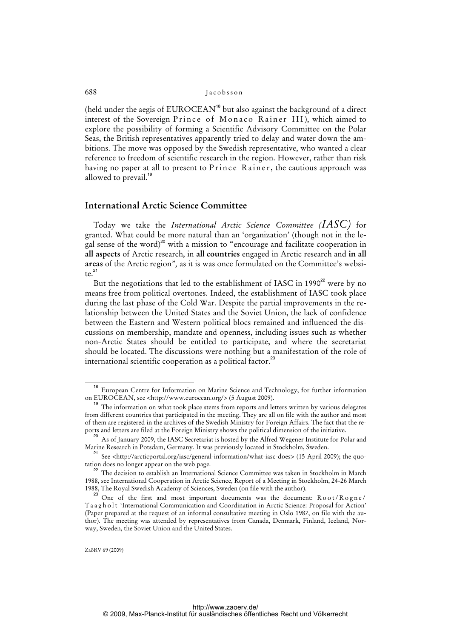(held under the aegis of  $EUROCEAN<sup>18</sup>$  but also against the background of a direct interest of the Sovereign Prince of Monaco Rainer III), which aimed to explore the possibility of forming a Scientific Advisory Committee on the Polar Seas, the British representatives apparently tried to delay and water down the ambitions. The move was opposed by the Swedish representative, who wanted a clear reference to freedom of scientific research in the region. However, rather than risk having no paper at all to present to Prince Rainer, the cautious approach was allowed to prevail.<sup>19</sup>

# **International Arctic Science Committee**

Today we take the *International Arctic Science Committee (IASC)* for granted. What could be more natural than an 'organization' (though not in the legal sense of the word)<sup>20</sup> with a mission to "encourage and facilitate cooperation in **all aspects** of Arctic research, in **all countries** engaged in Arctic research and **in all areas** of the Arctic region"*,* as it is was once formulated on the Committee's website. $^{21}$ 

But the negotiations that led to the establishment of IASC in 1990 $2^2$  were by no means free from political overtones. Indeed, the establishment of IASC took place during the last phase of the Cold War. Despite the partial improvements in the relationship between the United States and the Soviet Union, the lack of confidence between the Eastern and Western political blocs remained and influenced the discussions on membership, mandate and openness, including issues such as whether non-Arctic States should be entitled to participate, and where the secretariat should be located. The discussions were nothing but a manifestation of the role of international scientific cooperation as a political factor.<sup>23</sup>

European Centre for Information on Marine Science and Technology, for further information on EUROCEAN, see <[http://www.eurocean.org/>](http://www.eurocean.org/) (5 August 2009).

<sup>&</sup>lt;sup>19</sup> The information on what took place stems from reports and letters written by various delegates from different countries that participated in the meeting. They are all on file with the author and most of them are registered in the archives of the Swedish Ministry for Foreign Affairs. The fact that the reports and letters are filed at the Foreign Ministry shows the political dimension of the initiative.

 $^{20}$  As of January 2009, the IASC Secretariat is hosted by the Alfred Wegener Institute for Polar and Marine Research in Potsdam, Germany. It was previously located in Stockholm, Sweden.

<sup>&</sup>lt;sup>21</sup> See [<http://arcticportal.org/iasc/general-information/what-iasc-does>](http://arcticportal.org/iasc/general-information/what-iasc-does) (15 April 2009); the quotation does no longer appear on the web page.

<sup>&</sup>lt;sup>22</sup> The decision to establish an International Science Committee was taken in Stockholm in March 1988, see International Cooperation in Arctic Science, Report of a Meeting in Stockholm, 24-26 March 1988, The Royal Swedish Academy of Sciences, Sweden (on file with the author).

 $^{23}$  One of the first and most important documents was the document:  $Root/Rogne/$ Taagholt 'International Communication and Coordination in Arctic Science: Proposal for Action' (Paper prepared at the request of an informal consultative meeting in Oslo 1987, on file with the author). The meeting was attended by representatives from Canada, Denmark, Finland, Iceland, Norway, Sweden, the Soviet Union and the United States.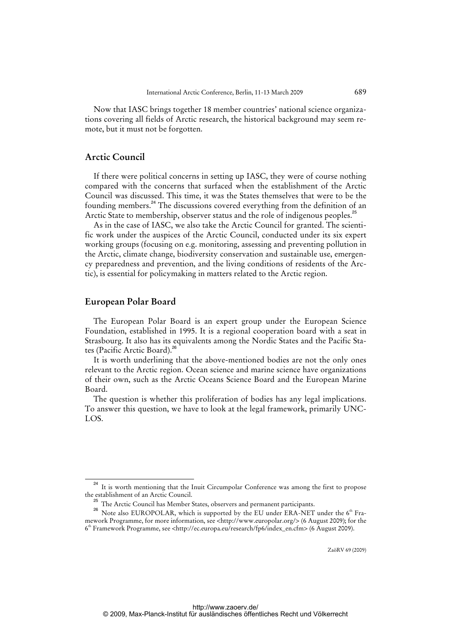Now that IASC brings together 18 member countries' national science organizations covering all fields of Arctic research, the historical background may seem remote, but it must not be forgotten.

# **Arctic Council**

If there were political concerns in setting up IASC, they were of course nothing compared with the concerns that surfaced when the establishment of the Arctic Council was discussed. This time, it was the States themselves that were to be the founding members.<sup>24</sup> The discussions covered everything from the definition of an Arctic State to membership, observer status and the role of indigenous peoples.<sup>25</sup>

As in the case of IASC, we also take the Arctic Council for granted. The scientific work under the auspices of the Arctic Council, conducted under its six expert working groups (focusing on e.g. monitoring, assessing and preventing pollution in the Arctic, climate change, biodiversity conservation and sustainable use, emergency preparedness and prevention, and the living conditions of residents of the Arctic), is essential for policymaking in matters related to the Arctic region.

## **European Polar Board**

The European Polar Board is an expert group under the European Science Foundation, established in 1995. It is a regional cooperation board with a seat in Strasbourg. It also has its equivalents among the Nordic States and the Pacific States (Pacific Arctic Board).<sup>26</sup>

It is worth underlining that the above-mentioned bodies are not the only ones relevant to the Arctic region. Ocean science and marine science have organizations of their own, such as the Arctic Oceans Science Board and the European Marine Board.

The question is whether this proliferation of bodies has any legal implications. To answer this question, we have to look at the legal framework, primarily UNC-LOS.

<sup>&</sup>lt;sup>24</sup> It is worth mentioning that the Inuit Circumpolar Conference was among the first to propose the establishment of an Arctic Council.

 $^5$  The Arctic Council has Member States, observers and permanent participants.

<sup>&</sup>lt;sup>26</sup> Note also EUROPOLAR, which is supported by the EU under ERA-NET under the  $6<sup>th</sup>$  Framework Programme, for more information, see [<http://www.europolar.org/>](http://www.europolar.org/) (6 August 2009); for the 6 th Framework Programme, see <[http://ec.europa.eu/research/fp6/index\\_en.cfm>](http://ec.europa.eu/research/fp6/index_en.cfm) (6 August 2009).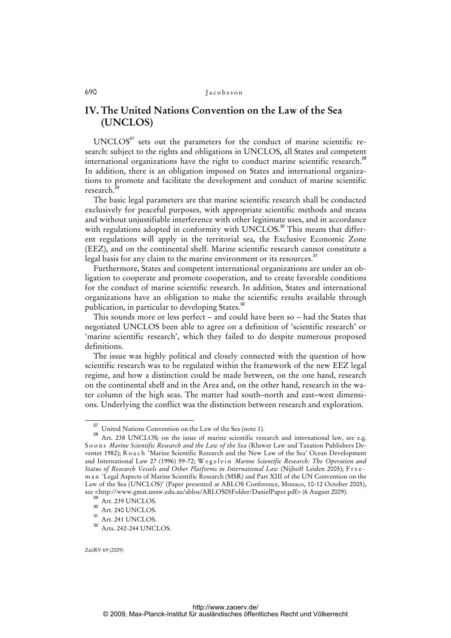# **IV. The United Nations Convention on the Law of the Sea (UNCLOS)**

 $UNCLOS<sup>27</sup>$  sets out the parameters for the conduct of marine scientific research: subject to the rights and obligations in UNCLOS, all States and competent international organizations have the right to conduct marine scientific research.<sup>28</sup> In addition, there is an obligation imposed on States and international organizations to promote and facilitate the development and conduct of marine scientific research.

The basic legal parameters are that marine scientific research shall be conducted exclusively for peaceful purposes, with appropriate scientific methods and means and without unjustifiable interference with other legitimate uses, and in accordance with regulations adopted in conformity with UNCLOS.<sup>30</sup> This means that different regulations will apply in the territorial sea, the Exclusive Economic Zone (EEZ), and on the continental shelf. Marine scientific research cannot constitute a legal basis for any claim to the marine environment or its resources.<sup>31</sup>

Furthermore, States and competent international organizations are under an obligation to cooperate and promote cooperation, and to create favorable conditions for the conduct of marine scientific research. In addition, States and international organizations have an obligation to make the scientific results available through publication, in particular to developing States.<sup>32</sup>

This sounds more or less perfect – and could have been so – had the States that negotiated UNCLOS been able to agree on a definition of 'scientific research' or 'marine scientific research', which they failed to do despite numerous proposed definitions.

The issue was highly political and closely connected with the question of how scientific research was to be regulated within the framework of the new EEZ legal regime, and how a distinction could be made between, on the one hand, research on the continental shelf and in the Area and, on the other hand, research in the water column of the high seas. The matter had south–north and east–west dimensions. Underlying the conflict was the distinction between research and exploration.

<sup>&</sup>lt;sup>27</sup> United Nations Convention on the Law of the Sea (note 1).

<sup>28</sup> Art. 238 UNCLOS; on the issue of marine scientific research and international law, see e.g. Soons *Marine Scientific Research and the Law of the Sea* (Kluwer Law and Taxation Publishers Deventer 1982); R o a c h 'Marine Scientific Research and the New Law of the Sea' Ocean Development and International Law 27 (1996) 59-72; Wegelein *Marine Scientific Research: The Operation and Status of Research Vessels and Other Platforms in International Law* (Nijhoff Leiden 2005); F r e e m a n 'Legal Aspects of Marine Scientific Research (MSR) and Part XIII of the UN Convention on the Law of the Sea (UNCLOS)' (Paper presented at ABLOS Conference, Monaco, 10-12 October 2005), see [<http://www.gmat.unsw.edu.au/ablos/ABLOS05Folder/DanielPaper.pdf>](http://www.gmat.unsw.edu.au/ablos/ABLOS05Folder/DanielPaper.pdf) (6 August 2009).

 $29$  Art. 239 UNCLOS.

<sup>&</sup>lt;sup>30</sup> Art. 240 UNCLOS.

<sup>&</sup>lt;sup>31</sup> Art. 241 UNCLOS.

<sup>32</sup> Arts. 242-244 UNCLOS.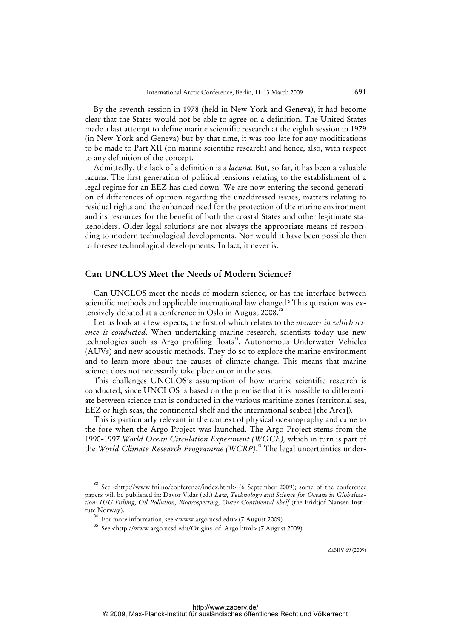By the seventh session in 1978 (held in New York and Geneva), it had become clear that the States would not be able to agree on a definition. The United States made a last attempt to define marine scientific research at the eighth session in 1979 (in New York and Geneva) but by that time, it was too late for any modifications to be made to Part XII (on marine scientific research) and hence, also, with respect to any definition of the concept.

Admittedly, the lack of a definition is a *lacuna.* But, so far, it has been a valuable lacuna. The first generation of political tensions relating to the establishment of a legal regime for an EEZ has died down. We are now entering the second generation of differences of opinion regarding the unaddressed issues, matters relating to residual rights and the enhanced need for the protection of the marine environment and its resources for the benefit of both the coastal States and other legitimate stakeholders. Older legal solutions are not always the appropriate means of responding to modern technological developments. Nor would it have been possible then to foresee technological developments. In fact, it never is.

## **Can UNCLOS Meet the Needs of Modern Science?**

Can UNCLOS meet the needs of modern science, or has the interface between scientific methods and applicable international law changed? This question was extensively debated at a conference in Oslo in August 2008.<sup>33</sup>

Let us look at a few aspects, the first of which relates to the *manner in which science is conducted*. When undertaking marine research, scientists today use new technologies such as Argo profiling floats<sup>34</sup>, Autonomous Underwater Vehicles (AUVs) and new acoustic methods. They do so to explore the marine environment and to learn more about the causes of climate change. This means that marine science does not necessarily take place on or in the seas.

This challenges UNCLOS's assumption of how marine scientific research is conducted, since UNCLOS is based on the premise that it is possible to differentiate between science that is conducted in the various maritime zones (territorial sea, EEZ or high seas, the continental shelf and the international seabed [the Area]).

This is particularly relevant in the context of physical oceanography and came to the fore when the Argo Project was launched. The Argo Project stems from the 1990-1997 *World Ocean Circulation Experiment (WOCE),* which in turn is part of the *World Climate Research Programme (WCRP).<sup>35</sup>* The legal uncertainties under-

<sup>33</sup> See <[http://www.fni.no/conference/index.html>](http://www.fni.no/conference/index.html) (6 September 2009); some of the conference papers will be published in: Davor Vidas (ed.) *Law, Technology and Science for Oceans in Globalization: IUU Fishing, Oil Pollution, Bioprospecting, Outer Continental Shelf* (the Fridtjof Nansen Institute Norway).

<sup>34</sup> For more information, see <www.argo.ucsd.edu> (7 August 2009).

<sup>35</sup> See <[http://www.argo.ucsd.edu/Origins\\_of\\_Argo.html>](http://www.argo.ucsd.edu/Origins_of_Argo.html) (7 August 2009).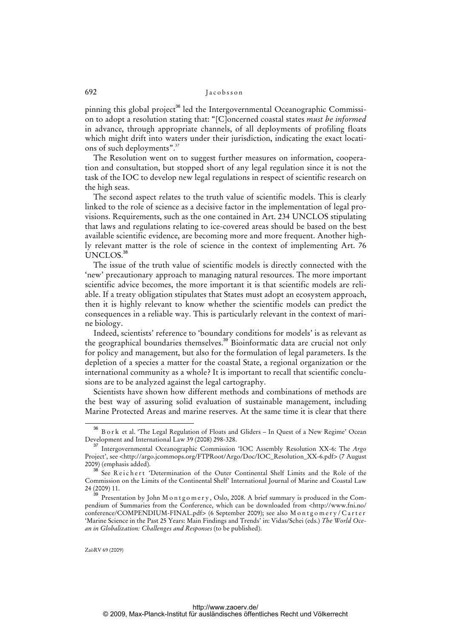pinning this global project<sup>36</sup> led the Intergovernmental Oceanographic Commission to adopt a resolution stating that: "[C]oncerned coastal states *must be informed* in advance, through appropriate channels, of all deployments of profiling floats which might drift into waters under their jurisdiction, indicating the exact locations of such deployments".<sup>37</sup>

The Resolution went on to suggest further measures on information, cooperation and consultation, but stopped short of any legal regulation since it is not the task of the IOC to develop new legal regulations in respect of scientific research on the high seas.

The second aspect relates to the truth value of scientific models. This is clearly linked to the role of science as a decisive factor in the implementation of legal provisions. Requirements, such as the one contained in Art. 234 UNCLOS stipulating that laws and regulations relating to ice-covered areas should be based on the best available scientific evidence, are becoming more and more frequent. Another highly relevant matter is the role of science in the context of implementing Art. 76 UNCLOS.<sup>38</sup>

The issue of the truth value of scientific models is directly connected with the 'new' precautionary approach to managing natural resources. The more important scientific advice becomes, the more important it is that scientific models are reliable. If a treaty obligation stipulates that States must adopt an ecosystem approach, then it is highly relevant to know whether the scientific models can predict the consequences in a reliable way. This is particularly relevant in the context of marine biology.

Indeed, scientists' reference to 'boundary conditions for models' is as relevant as the geographical boundaries themselves.<sup>39</sup> Bioinformatic data are crucial not only for policy and management, but also for the formulation of legal parameters. Is the depletion of a species a matter for the coastal State, a regional organization or the international community as a whole? It is important to recall that scientific conclusions are to be analyzed against the legal cartography.

Scientists have shown how different methods and combinations of methods are the best way of assuring solid evaluation of sustainable management, including Marine Protected Areas and marine reserves. At the same time it is clear that there

<sup>36</sup> B o r k et al. 'The Legal Regulation of Floats and Gliders – In Quest of a New Regime' Ocean Development and International Law 39 (2008) 298-328.

<sup>37</sup> Intergovernmental Oceanographic Commission 'IOC Assembly Resolution XX-6: The *Argo*  Project', see <[http://argo.jcommops.org/FTPRoot/Argo/Doc/IOC\\_Resolution\\_XX-6.pdf>](http://argo.jcommops.org/FTPRoot/Argo/Doc/IOC_Resolution_XX-6.pdf) (7 August 2009) (emphasis added).

See Reichert 'Determination of the Outer Continental Shelf Limits and the Role of the Commission on the Limits of the Continental Shelf' International Journal of Marine and Coastal Law 24 (2009) 11.

 $\frac{39}{29}$  Presentation by John M o n t g o m e r y , Oslo, 2008. A brief summary is produced in the Compendium of Summaries from the Conference, which can be downloaded from <<http://www.fni.no/> conference/COMPENDIUM-FINAL.pdf> (6 September 2009); see also Montgomery/Carter 'Marine Science in the Past 25 Years: Main Findings and Trends' in: Vidas/Schei (eds.) *The World Ocean in Globalization: Challenges and Responses* (to be published).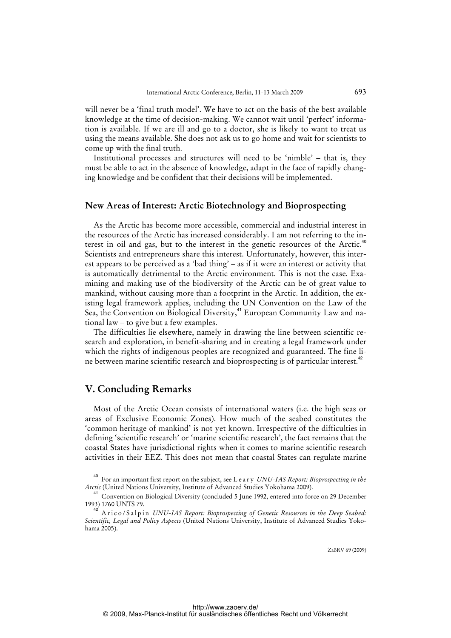will never be a 'final truth model'. We have to act on the basis of the best available knowledge at the time of decision-making. We cannot wait until 'perfect' information is available. If we are ill and go to a doctor, she is likely to want to treat us using the means available. She does not ask us to go home and wait for scientists to come up with the final truth.

Institutional processes and structures will need to be 'nimble' – that is, they must be able to act in the absence of knowledge, adapt in the face of rapidly changing knowledge and be confident that their decisions will be implemented.

# **New Areas of Interest: Arctic Biotechnology and Bioprospecting**

As the Arctic has become more accessible, commercial and industrial interest in the resources of the Arctic has increased considerably. I am not referring to the interest in oil and gas, but to the interest in the genetic resources of the Arctic.<sup>40</sup> Scientists and entrepreneurs share this interest. Unfortunately, however, this interest appears to be perceived as a 'bad thing' – as if it were an interest or activity that is automatically detrimental to the Arctic environment. This is not the case. Examining and making use of the biodiversity of the Arctic can be of great value to mankind, without causing more than a footprint in the Arctic. In addition, the existing legal framework applies, including the UN Convention on the Law of the Sea, the Convention on Biological Diversity,<sup>41</sup> European Community Law and national law – to give but a few examples.

The difficulties lie elsewhere, namely in drawing the line between scientific research and exploration, in benefit-sharing and in creating a legal framework under which the rights of indigenous peoples are recognized and guaranteed. The fine line between marine scientific research and bioprospecting is of particular interest.<sup>42</sup>

# **V. Concluding Remarks**

Most of the Arctic Ocean consists of international waters (i.e. the high seas or areas of Exclusive Economic Zones). How much of the seabed constitutes the 'common heritage of mankind' is not yet known. Irrespective of the difficulties in defining 'scientific research' or 'marine scientific research', the fact remains that the coastal States have jurisdictional rights when it comes to marine scientific research activities in their EEZ. This does not mean that coastal States can regulate marine

<sup>40</sup> For an important first report on the subject, see L e a r y *UNU-IAS Report: Bioprospecting in the Arctic* (United Nations University, Institute of Advanced Studies Yokohama 2009).

<sup>&</sup>lt;sup>41</sup> Convention on Biological Diversity (concluded 5 June 1992, entered into force on 29 December 1993) 1760 UNTS 79.

<sup>42</sup> Arico/Salpin *UNU-IAS Report: Bioprospecting of Genetic Resources in the Deep Seabed: Scientific, Legal and Policy Aspects* (United Nations University, Institute of Advanced Studies Yokohama 2005).